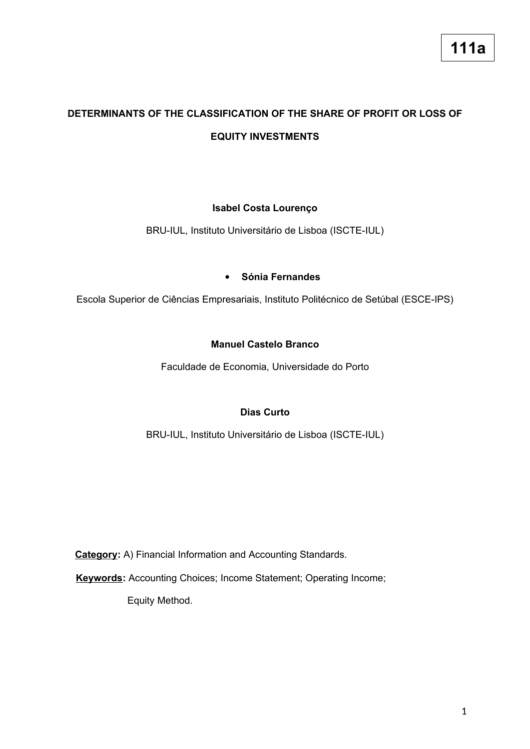# **DETERMINANTS OF THE CLASSIFICATION OF THE SHARE OF PROFIT OR LOSS OF EQUITY INVESTMENTS**

## **Isabel Costa Lourenço**

BRU-IUL, Instituto Universitário de Lisboa (ISCTE-IUL)

#### **Sónia Fernandes**

Escola Superior de Ciências Empresariais, Instituto Politécnico de Setúbal (ESCE-IPS)

### **Manuel Castelo Branco**

Faculdade de Economia, Universidade do Porto

### **Dias Curto**

BRU-IUL, Instituto Universitário de Lisboa (ISCTE-IUL)

**Category:** A) Financial Information and Accounting Standards.

**Keywords:** Accounting Choices; Income Statement; Operating Income;

Equity Method.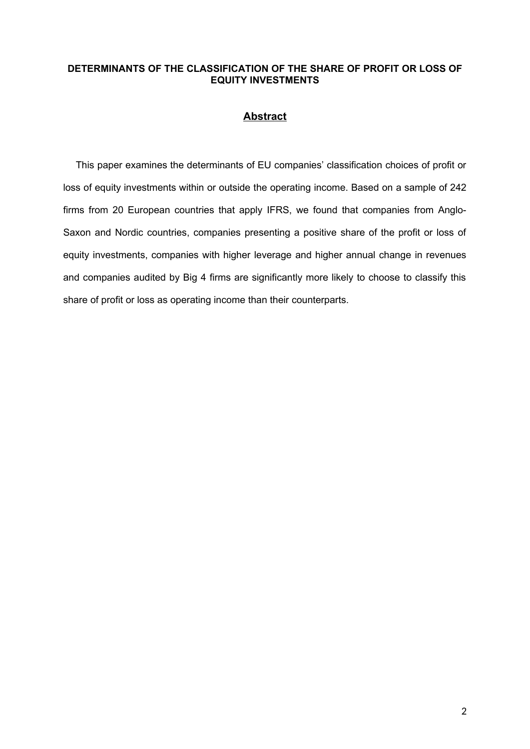### **DETERMINANTS OF THE CLASSIFICATION OF THE SHARE OF PROFIT OR LOSS OF EQUITY INVESTMENTS**

## **Abstract**

This paper examines the determinants of EU companies' classification choices of profit or loss of equity investments within or outside the operating income. Based on a sample of 242 firms from 20 European countries that apply IFRS, we found that companies from Anglo-Saxon and Nordic countries, companies presenting a positive share of the profit or loss of equity investments, companies with higher leverage and higher annual change in revenues and companies audited by Big 4 firms are significantly more likely to choose to classify this share of profit or loss as operating income than their counterparts.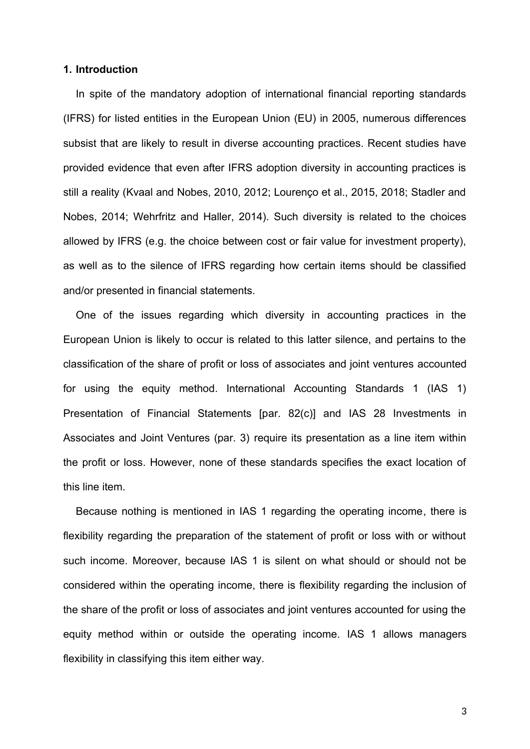#### **1. Introduction**

In spite of the mandatory adoption of international financial reporting standards (IFRS) for listed entities in the European Union (EU) in 2005, numerous differences subsist that are likely to result in diverse accounting practices. Recent studies have provided evidence that even after IFRS adoption diversity in accounting practices is still a reality (Kvaal and Nobes, 2010, 2012; Lourenço et al., 2015, 2018; Stadler and Nobes, 2014; Wehrfritz and Haller, 2014). Such diversity is related to the choices allowed by IFRS (e.g. the choice between cost or fair value for investment property), as well as to the silence of IFRS regarding how certain items should be classified and/or presented in financial statements.

One of the issues regarding which diversity in accounting practices in the European Union is likely to occur is related to this latter silence, and pertains to the classification of the share of profit or loss of associates and joint ventures accounted for using the equity method. International Accounting Standards 1 (IAS 1) Presentation of Financial Statements [par. 82(c)] and IAS 28 Investments in Associates and Joint Ventures (par. 3) require its presentation as a line item within the profit or loss. However, none of these standards specifies the exact location of this line item.

Because nothing is mentioned in IAS 1 regarding the operating income, there is flexibility regarding the preparation of the statement of profit or loss with or without such income. Moreover, because IAS 1 is silent on what should or should not be considered within the operating income, there is flexibility regarding the inclusion of the share of the profit or loss of associates and joint ventures accounted for using the equity method within or outside the operating income. IAS 1 allows managers flexibility in classifying this item either way.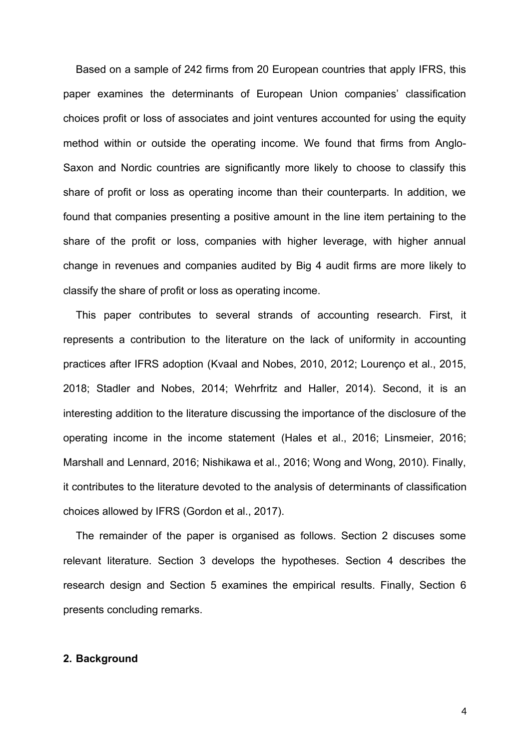Based on a sample of 242 firms from 20 European countries that apply IFRS, this paper examines the determinants of European Union companies' classification choices profit or loss of associates and joint ventures accounted for using the equity method within or outside the operating income. We found that firms from Anglo-Saxon and Nordic countries are significantly more likely to choose to classify this share of profit or loss as operating income than their counterparts. In addition, we found that companies presenting a positive amount in the line item pertaining to the share of the profit or loss, companies with higher leverage, with higher annual change in revenues and companies audited by Big 4 audit firms are more likely to classify the share of profit or loss as operating income.

This paper contributes to several strands of accounting research. First, it represents a contribution to the literature on the lack of uniformity in accounting practices after IFRS adoption (Kvaal and Nobes, 2010, 2012; Lourenço et al., 2015, 2018; Stadler and Nobes, 2014; Wehrfritz and Haller, 2014). Second, it is an interesting addition to the literature discussing the importance of the disclosure of the operating income in the income statement (Hales et al., 2016; Linsmeier, 2016; Marshall and Lennard, 2016; Nishikawa et al., 2016; Wong and Wong, 2010). Finally, it contributes to the literature devoted to the analysis of determinants of classification choices allowed by IFRS (Gordon et al., 2017).

The remainder of the paper is organised as follows. Section 2 discuses some relevant literature. Section 3 develops the hypotheses. Section 4 describes the research design and Section 5 examines the empirical results. Finally, Section 6 presents concluding remarks.

## **2. Background**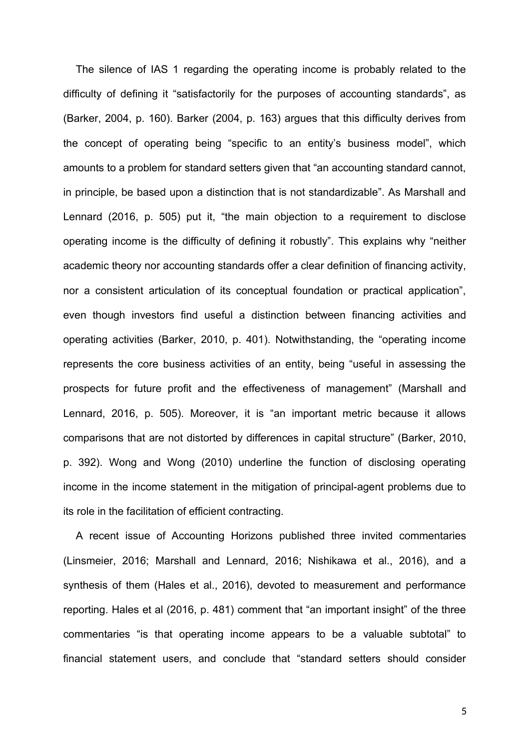The silence of IAS 1 regarding the operating income is probably related to the difficulty of defining it "satisfactorily for the purposes of accounting standards", as (Barker, 2004, p. 160). Barker (2004, p. 163) argues that this difficulty derives from the concept of operating being "specific to an entity's business model", which amounts to a problem for standard setters given that "an accounting standard cannot, in principle, be based upon a distinction that is not standardizable". As Marshall and Lennard (2016, p. 505) put it, "the main objection to a requirement to disclose operating income is the difficulty of defining it robustly". This explains why "neither academic theory nor accounting standards offer a clear definition of financing activity, nor a consistent articulation of its conceptual foundation or practical application", even though investors find useful a distinction between financing activities and operating activities (Barker, 2010, p. 401). Notwithstanding, the "operating income represents the core business activities of an entity, being "useful in assessing the prospects for future profit and the effectiveness of management" (Marshall and Lennard, 2016, p. 505). Moreover, it is "an important metric because it allows comparisons that are not distorted by differences in capital structure" (Barker, 2010, p. 392). Wong and Wong (2010) underline the function of disclosing operating income in the income statement in the mitigation of principal-agent problems due to its role in the facilitation of efficient contracting.

A recent issue of Accounting Horizons published three invited commentaries (Linsmeier, 2016; Marshall and Lennard, 2016; Nishikawa et al., 2016), and a synthesis of them (Hales et al., 2016), devoted to measurement and performance reporting. Hales et al (2016, p. 481) comment that "an important insight" of the three commentaries "is that operating income appears to be a valuable subtotal" to financial statement users, and conclude that "standard setters should consider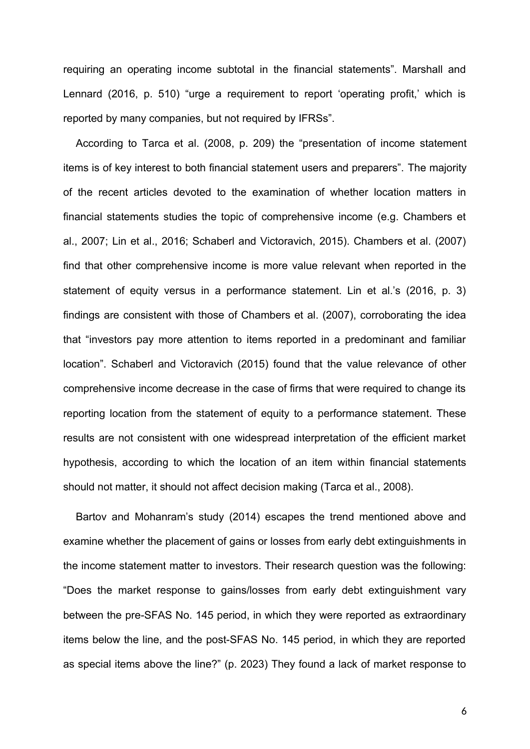requiring an operating income subtotal in the financial statements". Marshall and Lennard (2016, p. 510) "urge a requirement to report 'operating profit,' which is reported by many companies, but not required by IFRSs".

According to Tarca et al. (2008, p. 209) the "presentation of income statement items is of key interest to both financial statement users and preparers". The majority of the recent articles devoted to the examination of whether location matters in financial statements studies the topic of comprehensive income (e.g. Chambers et al., 2007; Lin et al., 2016; Schaberl and Victoravich, 2015). Chambers et al. (2007) find that other comprehensive income is more value relevant when reported in the statement of equity versus in a performance statement. Lin et al.'s (2016, p. 3) findings are consistent with those of Chambers et al. (2007), corroborating the idea that "investors pay more attention to items reported in a predominant and familiar location". Schaberl and Victoravich (2015) found that the value relevance of other comprehensive income decrease in the case of firms that were required to change its reporting location from the statement of equity to a performance statement. These results are not consistent with one widespread interpretation of the efficient market hypothesis, according to which the location of an item within financial statements should not matter, it should not affect decision making (Tarca et al., 2008).

Bartov and Mohanram's study (2014) escapes the trend mentioned above and examine whether the placement of gains or losses from early debt extinguishments in the income statement matter to investors. Their research question was the following: "Does the market response to gains/losses from early debt extinguishment vary between the pre-SFAS No. 145 period, in which they were reported as extraordinary items below the line, and the post-SFAS No. 145 period, in which they are reported as special items above the line?" (p. 2023) They found a lack of market response to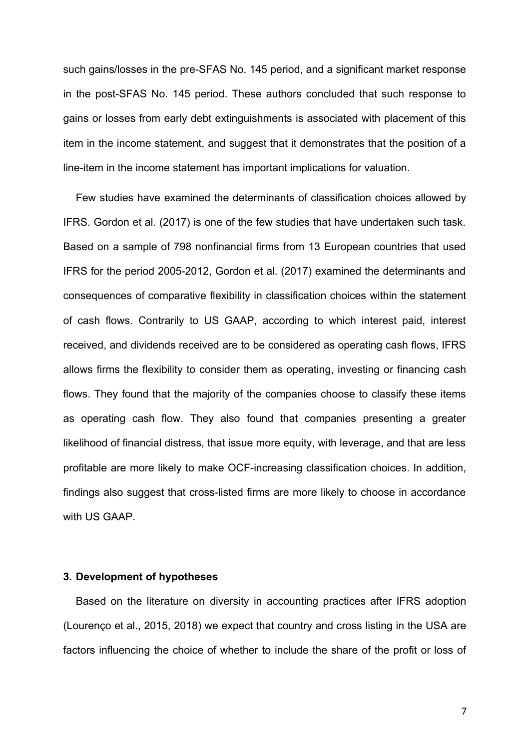such gains/losses in the pre-SFAS No. 145 period, and a significant market response in the post-SFAS No. 145 period. These authors concluded that such response to gains or losses from early debt extinguishments is associated with placement of this item in the income statement, and suggest that it demonstrates that the position of a line-item in the income statement has important implications for valuation.

Few studies have examined the determinants of classification choices allowed by IFRS. Gordon et al. (2017) is one of the few studies that have undertaken such task. Based on a sample of 798 nonfinancial firms from 13 European countries that used IFRS for the period 2005-2012, Gordon et al. (2017) examined the determinants and consequences of comparative flexibility in classification choices within the statement of cash flows. Contrarily to US GAAP, according to which interest paid, interest received, and dividends received are to be considered as operating cash flows, IFRS allows firms the flexibility to consider them as operating, investing or financing cash flows. They found that the majority of the companies choose to classify these items as operating cash flow. They also found that companies presenting a greater likelihood of financial distress, that issue more equity, with leverage, and that are less profitable are more likely to make OCF-increasing classification choices. In addition, findings also suggest that cross-listed firms are more likely to choose in accordance with US GAAP.

#### **3. Development of hypotheses**

Based on the literature on diversity in accounting practices after IFRS adoption (Lourenço et al., 2015, 2018) we expect that country and cross listing in the USA are factors influencing the choice of whether to include the share of the profit or loss of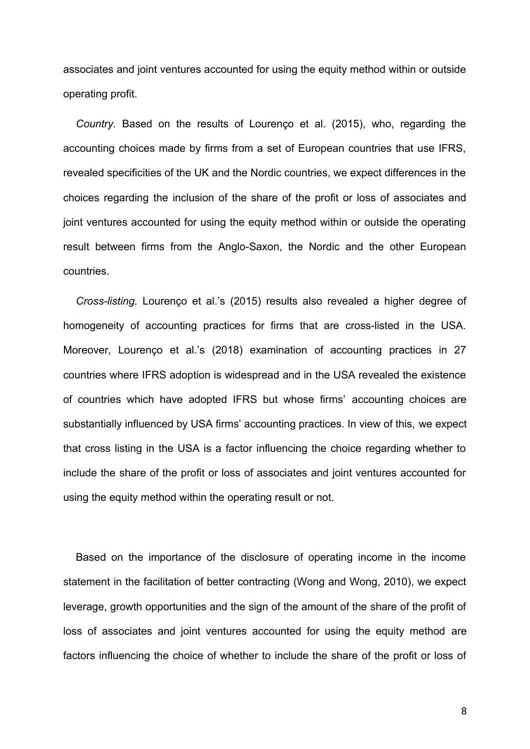associates and joint ventures accounted for using the equity method within or outside operating profit.

*Country.* Based on the results of Lourenço et al. (2015), who, regarding the accounting choices made by firms from a set of European countries that use IFRS, revealed specificities of the UK and the Nordic countries, we expect differences in the choices regarding the inclusion of the share of the profit or loss of associates and joint ventures accounted for using the equity method within or outside the operating result between firms from the Anglo-Saxon, the Nordic and the other European countries.

*Cross-listing.* Lourenço et al.'s (2015) results also revealed a higher degree of homogeneity of accounting practices for firms that are cross-listed in the USA. Moreover, Lourenço et al.'s (2018) examination of accounting practices in 27 countries where IFRS adoption is widespread and in the USA revealed the existence of countries which have adopted IFRS but whose firms' accounting choices are substantially influenced by USA firms' accounting practices. In view of this, we expect that cross listing in the USA is a factor influencing the choice regarding whether to include the share of the profit or loss of associates and joint ventures accounted for using the equity method within the operating result or not.

Based on the importance of the disclosure of operating income in the income statement in the facilitation of better contracting (Wong and Wong, 2010), we expect leverage, growth opportunities and the sign of the amount of the share of the profit of loss of associates and joint ventures accounted for using the equity method are factors influencing the choice of whether to include the share of the profit or loss of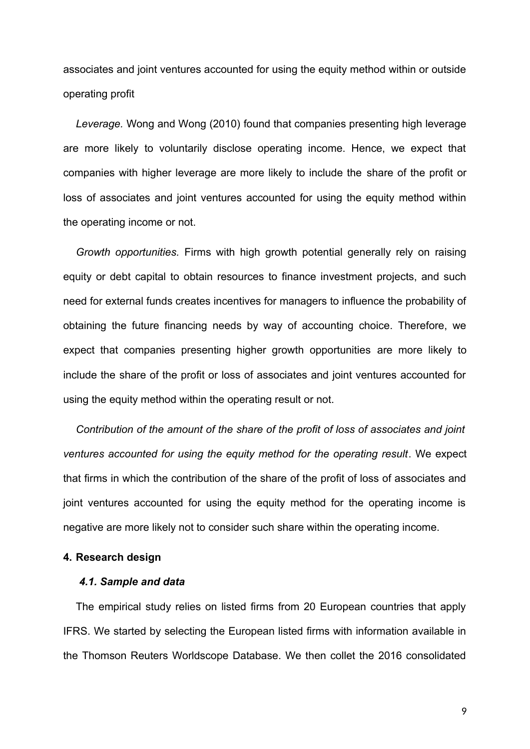associates and joint ventures accounted for using the equity method within or outside operating profit

*Leverage.* Wong and Wong (2010) found that companies presenting high leverage are more likely to voluntarily disclose operating income. Hence, we expect that companies with higher leverage are more likely to include the share of the profit or loss of associates and joint ventures accounted for using the equity method within the operating income or not.

*Growth opportunities.* Firms with high growth potential generally rely on raising equity or debt capital to obtain resources to finance investment projects, and such need for external funds creates incentives for managers to influence the probability of obtaining the future financing needs by way of accounting choice. Therefore, we expect that companies presenting higher growth opportunities are more likely to include the share of the profit or loss of associates and joint ventures accounted for using the equity method within the operating result or not.

*Contribution of the amount of the share of the profit of loss of associates and joint ventures accounted for using the equity method for the operating result*. We expect that firms in which the contribution of the share of the profit of loss of associates and joint ventures accounted for using the equity method for the operating income is negative are more likely not to consider such share within the operating income.

#### **4. Research design**

## *4.1. Sample and data*

The empirical study relies on listed firms from 20 European countries that apply IFRS. We started by selecting the European listed firms with information available in the Thomson Reuters Worldscope Database. We then collet the 2016 consolidated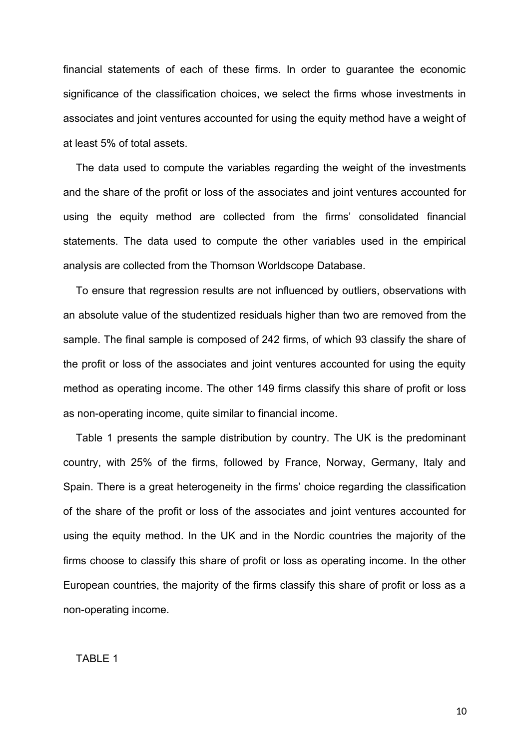financial statements of each of these firms. In order to guarantee the economic significance of the classification choices, we select the firms whose investments in associates and joint ventures accounted for using the equity method have a weight of at least 5% of total assets.

The data used to compute the variables regarding the weight of the investments and the share of the profit or loss of the associates and joint ventures accounted for using the equity method are collected from the firms' consolidated financial statements. The data used to compute the other variables used in the empirical analysis are collected from the Thomson Worldscope Database.

To ensure that regression results are not influenced by outliers, observations with an absolute value of the studentized residuals higher than two are removed from the sample. The final sample is composed of 242 firms, of which 93 classify the share of the profit or loss of the associates and joint ventures accounted for using the equity method as operating income. The other 149 firms classify this share of profit or loss as non-operating income, quite similar to financial income.

Table 1 presents the sample distribution by country. The UK is the predominant country, with 25% of the firms, followed by France, Norway, Germany, Italy and Spain. There is a great heterogeneity in the firms' choice regarding the classification of the share of the profit or loss of the associates and joint ventures accounted for using the equity method. In the UK and in the Nordic countries the majority of the firms choose to classify this share of profit or loss as operating income. In the other European countries, the majority of the firms classify this share of profit or loss as a non-operating income.

TABLE 1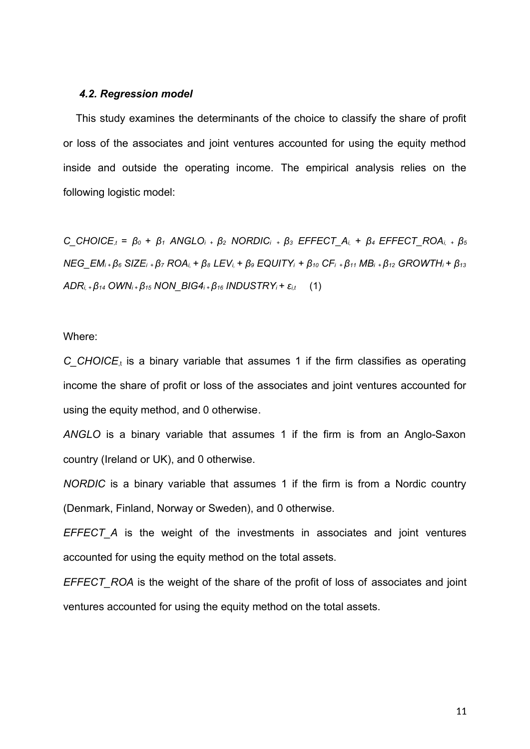#### *4.2. Regression model*

This study examines the determinants of the choice to classify the share of profit or loss of the associates and joint ventures accounted for using the equity method inside and outside the operating income. The empirical analysis relies on the following logistic model:

C CHOICE<sub>t</sub> =  $\beta_0$  +  $\beta_1$  ANGLO<sub>i</sub> +  $\beta_2$  NORDIC<sub>i</sub> +  $\beta_3$  EFFECT A<sub>i</sub> +  $\beta_4$  EFFECT ROA<sub>i</sub> +  $\beta_5$  $NEG\_EM_{i+}\beta_{6}$  SIZE<sub>i +</sub> $\beta_{7}$  ROA<sub>i</sub> +  $\beta_{8}$  LEV<sub>i</sub> +  $\beta_{9}$  EQUITY<sub>i</sub> +  $\beta_{10}$  CF<sub>i</sub> +  $\beta_{11}$  MB<sub>i</sub> +  $\beta_{12}$  GROWTH<sub>i</sub> +  $\beta_{13}$ *ADRi, + β14 OWNi + β15 NON\_BIG4i + β16 INDUSTRYi + εi,t* (1)

Where:

 $C_{\text{u}}$  *CHOICE*, is a binary variable that assumes 1 if the firm classifies as operating income the share of profit or loss of the associates and joint ventures accounted for using the equity method, and 0 otherwise.

*ANGLO* is a binary variable that assumes 1 if the firm is from an Anglo-Saxon country (Ireland or UK), and 0 otherwise.

*NORDIC* is a binary variable that assumes 1 if the firm is from a Nordic country (Denmark, Finland, Norway or Sweden), and 0 otherwise.

*EFFECT* A is the weight of the investments in associates and joint ventures accounted for using the equity method on the total assets.

*EFFECT* ROA is the weight of the share of the profit of loss of associates and joint ventures accounted for using the equity method on the total assets.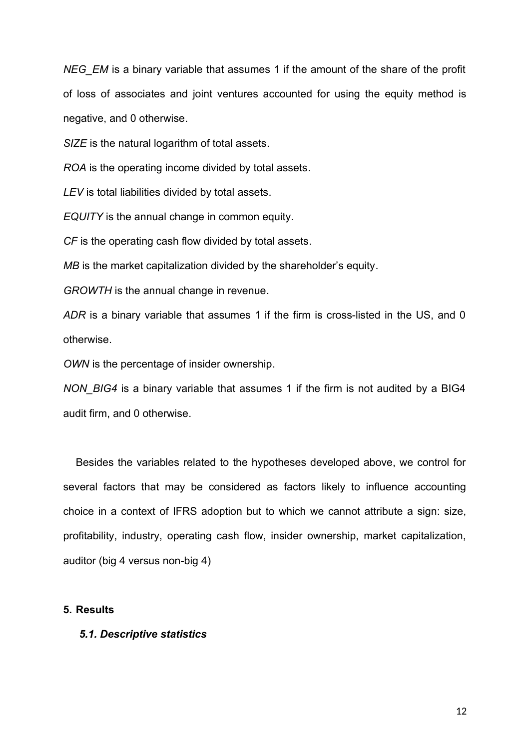*NEG\_EM* is a binary variable that assumes 1 if the amount of the share of the profit of loss of associates and joint ventures accounted for using the equity method is negative, and 0 otherwise.

*SIZE* is the natural logarithm of total assets.

*ROA* is the operating income divided by total assets.

*LEV* is total liabilities divided by total assets.

*EQUITY* is the annual change in common equity.

*CF* is the operating cash flow divided by total assets.

*MB* is the market capitalization divided by the shareholder's equity.

*GROWTH* is the annual change in revenue.

*ADR* is a binary variable that assumes 1 if the firm is cross-listed in the US, and 0 otherwise.

*OWN* is the percentage of insider ownership.

*NON\_BIG4* is a binary variable that assumes 1 if the firm is not audited by a BIG4 audit firm, and 0 otherwise.

Besides the variables related to the hypotheses developed above, we control for several factors that may be considered as factors likely to influence accounting choice in a context of IFRS adoption but to which we cannot attribute a sign: size, profitability, industry, operating cash flow, insider ownership, market capitalization, auditor (big 4 versus non-big 4)

### **5. Results**

#### *5.1. Descriptive statistics*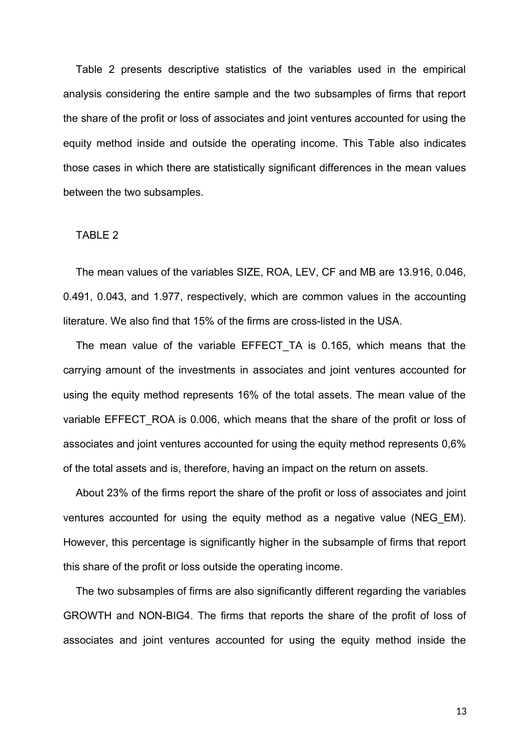Table 2 presents descriptive statistics of the variables used in the empirical analysis considering the entire sample and the two subsamples of firms that report the share of the profit or loss of associates and joint ventures accounted for using the equity method inside and outside the operating income. This Table also indicates those cases in which there are statistically significant differences in the mean values between the two subsamples.

#### TABLE 2

The mean values of the variables SIZE, ROA, LEV, CF and MB are 13.916, 0.046, 0.491, 0.043, and 1.977, respectively, which are common values in the accounting literature. We also find that 15% of the firms are cross-listed in the USA.

The mean value of the variable EFFECT TA is 0.165, which means that the carrying amount of the investments in associates and joint ventures accounted for using the equity method represents 16% of the total assets. The mean value of the variable EFFECT ROA is 0.006, which means that the share of the profit or loss of associates and joint ventures accounted for using the equity method represents 0,6% of the total assets and is, therefore, having an impact on the return on assets.

About 23% of the firms report the share of the profit or loss of associates and joint ventures accounted for using the equity method as a negative value (NEG\_EM). However, this percentage is significantly higher in the subsample of firms that report this share of the profit or loss outside the operating income.

The two subsamples of firms are also significantly different regarding the variables GROWTH and NON-BIG4. The firms that reports the share of the profit of loss of associates and joint ventures accounted for using the equity method inside the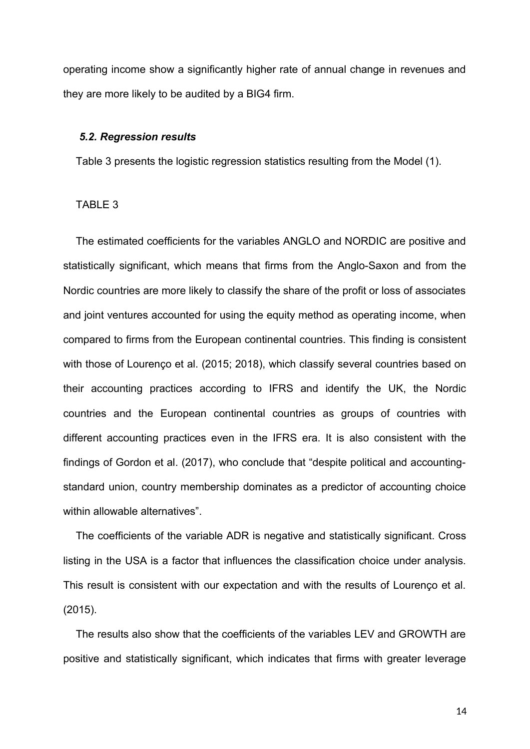operating income show a significantly higher rate of annual change in revenues and they are more likely to be audited by a BIG4 firm.

#### *5.2. Regression results*

Table 3 presents the logistic regression statistics resulting from the Model (1).

#### TABLE 3

The estimated coefficients for the variables ANGLO and NORDIC are positive and statistically significant, which means that firms from the Anglo-Saxon and from the Nordic countries are more likely to classify the share of the profit or loss of associates and joint ventures accounted for using the equity method as operating income, when compared to firms from the European continental countries. This finding is consistent with those of Lourenço et al. (2015; 2018), which classify several countries based on their accounting practices according to IFRS and identify the UK, the Nordic countries and the European continental countries as groups of countries with different accounting practices even in the IFRS era. It is also consistent with the findings of Gordon et al. (2017), who conclude that "despite political and accountingstandard union, country membership dominates as a predictor of accounting choice within allowable alternatives".

The coefficients of the variable ADR is negative and statistically significant. Cross listing in the USA is a factor that influences the classification choice under analysis. This result is consistent with our expectation and with the results of Lourenço et al. (2015).

The results also show that the coefficients of the variables LEV and GROWTH are positive and statistically significant, which indicates that firms with greater leverage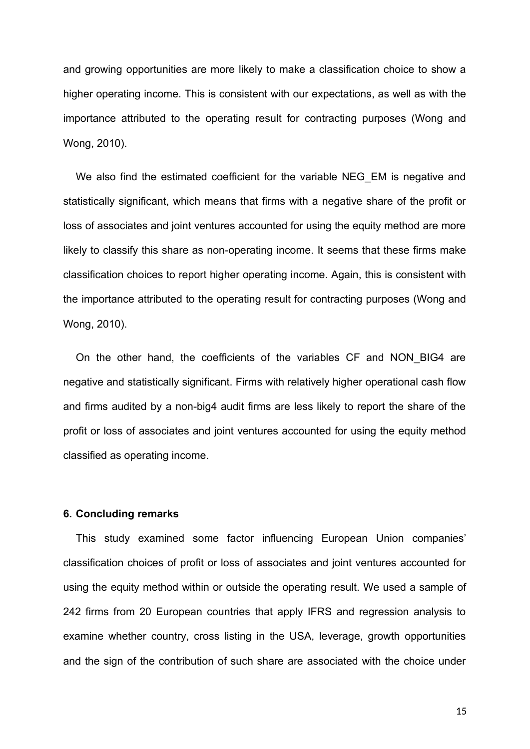and growing opportunities are more likely to make a classification choice to show a higher operating income. This is consistent with our expectations, as well as with the importance attributed to the operating result for contracting purposes (Wong and Wong, 2010).

We also find the estimated coefficient for the variable NEG EM is negative and statistically significant, which means that firms with a negative share of the profit or loss of associates and joint ventures accounted for using the equity method are more likely to classify this share as non-operating income. It seems that these firms make classification choices to report higher operating income. Again, this is consistent with the importance attributed to the operating result for contracting purposes (Wong and Wong, 2010).

On the other hand, the coefficients of the variables CF and NON\_BIG4 are negative and statistically significant. Firms with relatively higher operational cash flow and firms audited by a non-big4 audit firms are less likely to report the share of the profit or loss of associates and joint ventures accounted for using the equity method classified as operating income.

## **6. Concluding remarks**

This study examined some factor influencing European Union companies' classification choices of profit or loss of associates and joint ventures accounted for using the equity method within or outside the operating result. We used a sample of 242 firms from 20 European countries that apply IFRS and regression analysis to examine whether country, cross listing in the USA, leverage, growth opportunities and the sign of the contribution of such share are associated with the choice under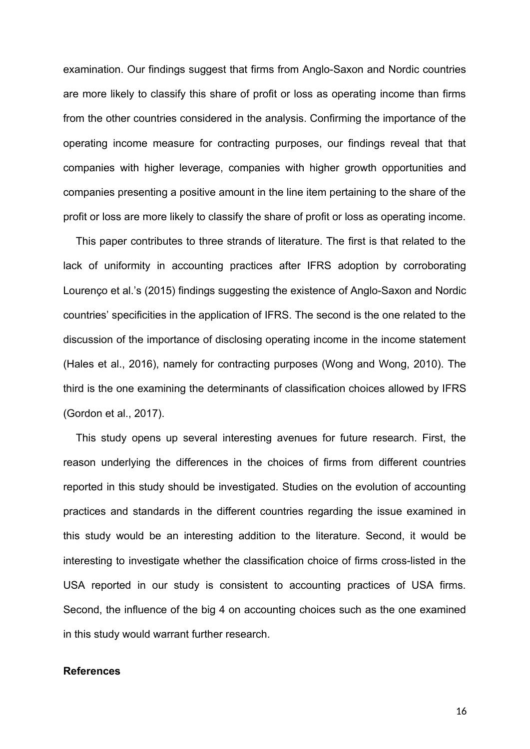examination. Our findings suggest that firms from Anglo-Saxon and Nordic countries are more likely to classify this share of profit or loss as operating income than firms from the other countries considered in the analysis. Confirming the importance of the operating income measure for contracting purposes, our findings reveal that that companies with higher leverage, companies with higher growth opportunities and companies presenting a positive amount in the line item pertaining to the share of the profit or loss are more likely to classify the share of profit or loss as operating income.

This paper contributes to three strands of literature. The first is that related to the lack of uniformity in accounting practices after IFRS adoption by corroborating Lourenço et al.'s (2015) findings suggesting the existence of Anglo-Saxon and Nordic countries' specificities in the application of IFRS. The second is the one related to the discussion of the importance of disclosing operating income in the income statement (Hales et al., 2016), namely for contracting purposes (Wong and Wong, 2010). The third is the one examining the determinants of classification choices allowed by IFRS (Gordon et al., 2017).

This study opens up several interesting avenues for future research. First, the reason underlying the differences in the choices of firms from different countries reported in this study should be investigated. Studies on the evolution of accounting practices and standards in the different countries regarding the issue examined in this study would be an interesting addition to the literature. Second, it would be interesting to investigate whether the classification choice of firms cross-listed in the USA reported in our study is consistent to accounting practices of USA firms. Second, the influence of the big 4 on accounting choices such as the one examined in this study would warrant further research.

### **References**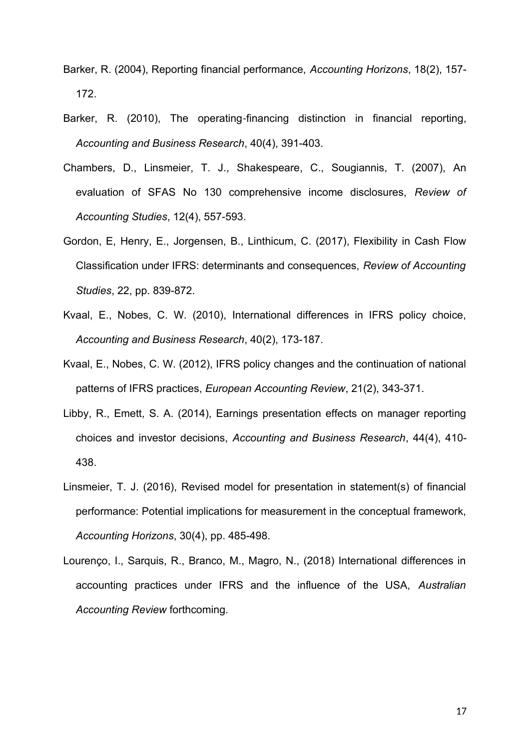- Barker, R. (2004), Reporting financial performance, *Accounting Horizons*, 18(2), 157- 172.
- Barker, R. (2010), The operating‐financing distinction in financial reporting, *Accounting and Business Research*, 40(4), 391-403.
- Chambers, D., Linsmeier, T. J., Shakespeare, C., Sougiannis, T. (2007), An evaluation of SFAS No 130 comprehensive income disclosures, *Review of Accounting Studies*, 12(4), 557-593.
- Gordon, E, Henry, E., Jorgensen, B., Linthicum, C. (2017), Flexibility in Cash Flow Classification under IFRS: determinants and consequences, *Review of Accounting Studies*, 22, pp. 839-872.
- Kvaal, E., Nobes, C. W. (2010), International differences in IFRS policy choice, *Accounting and Business Research*, 40(2), 173-187.
- Kvaal, E., Nobes, C. W. (2012), IFRS policy changes and the continuation of national patterns of IFRS practices, *European Accounting Review*, 21(2), 343-371.
- Libby, R., Emett, S. A. (2014), Earnings presentation effects on manager reporting choices and investor decisions, *Accounting and Business Research*, 44(4), 410- 438.
- Linsmeier, T. J. (2016), Revised model for presentation in statement(s) of financial performance: Potential implications for measurement in the conceptual framework, *Accounting Horizons*, 30(4), pp. 485-498.
- Lourenço, I., Sarquis, R., Branco, M., Magro, N., (2018) International differences in accounting practices under IFRS and the influence of the USA, *Australian Accounting Review* forthcoming.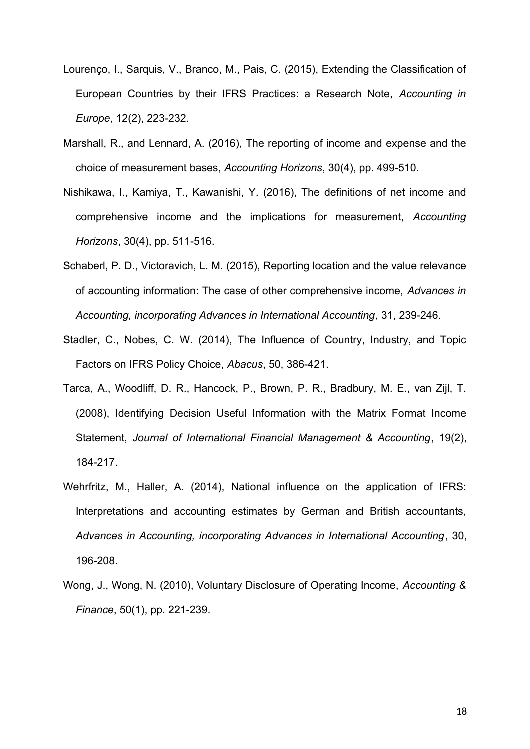- Lourenço, I., Sarquis, V., Branco, M., Pais, C. (2015), Extending the Classification of European Countries by their IFRS Practices: a Research Note, *Accounting in Europe*, 12(2), 223-232*.*
- Marshall, R., and Lennard, A. (2016), The reporting of income and expense and the choice of measurement bases, *Accounting Horizons*, 30(4), pp. 499-510.
- Nishikawa, I., Kamiya, T., Kawanishi, Y. (2016), The definitions of net income and comprehensive income and the implications for measurement, *Accounting Horizons*, 30(4), pp. 511-516.
- Schaberl, P. D., Victoravich, L. M. (2015), Reporting location and the value relevance of accounting information: The case of other comprehensive income, *Advances in Accounting, incorporating Advances in International Accounting*, 31, 239-246.
- Stadler, C., Nobes, C. W. (2014), The Influence of Country, Industry, and Topic Factors on IFRS Policy Choice, *Abacus*, 50, 386-421.
- Tarca, A., Woodliff, D. R., Hancock, P., Brown, P. R., Bradbury, M. E., van Zijl, T. (2008), Identifying Decision Useful Information with the Matrix Format Income Statement, *Journal of International Financial Management & Accounting*, 19(2), 184-217.
- Wehrfritz, M., Haller, A. (2014), National influence on the application of IFRS: Interpretations and accounting estimates by German and British accountants, *Advances in Accounting, incorporating Advances in International Accounting*, 30, 196-208.
- Wong, J., Wong, N. (2010), Voluntary Disclosure of Operating Income, *Accounting & Finance*, 50(1), pp. 221-239.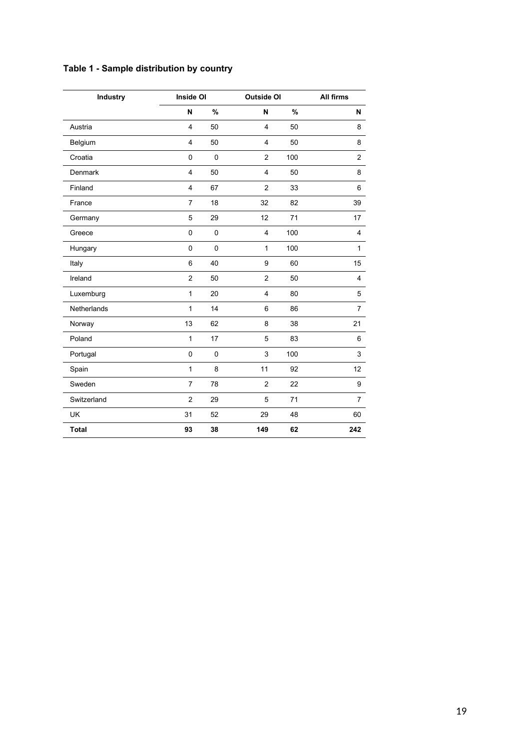| <b>Industry</b> | <b>Inside OI</b> |             | <b>Outside OI</b> |      | All firms      |
|-----------------|------------------|-------------|-------------------|------|----------------|
|                 | N                | $\%$        | N                 | $\%$ | N              |
| Austria         | $\overline{4}$   | 50          | 4                 | 50   | 8              |
| Belgium         | $\overline{4}$   | 50          | $\overline{4}$    | 50   | 8              |
| Croatia         | 0                | $\pmb{0}$   | $\overline{2}$    | 100  | $\overline{c}$ |
| Denmark         | 4                | 50          | 4                 | 50   | 8              |
| Finland         | 4                | 67          | $\overline{c}$    | 33   | 6              |
| France          | $\overline{7}$   | 18          | 32                | 82   | 39             |
| Germany         | 5                | 29          | 12                | 71   | 17             |
| Greece          | 0                | $\mathbf 0$ | 4                 | 100  | 4              |
| Hungary         | 0                | $\mathbf 0$ | $\mathbf{1}$      | 100  | $\mathbf{1}$   |
| Italy           | 6                | 40          | 9                 | 60   | 15             |
| Ireland         | $\overline{2}$   | 50          | $\overline{2}$    | 50   | $\overline{4}$ |
| Luxemburg       | $\mathbf{1}$     | 20          | 4                 | 80   | 5              |
| Netherlands     | 1                | 14          | 6                 | 86   | $\overline{7}$ |
| Norway          | 13               | 62          | 8                 | 38   | 21             |
| Poland          | 1                | 17          | 5                 | 83   | 6              |
| Portugal        | 0                | $\pmb{0}$   | 3                 | 100  | 3              |
| Spain           | $\mathbf{1}$     | 8           | 11                | 92   | 12             |
| Sweden          | $\overline{7}$   | 78          | $\overline{c}$    | 22   | 9              |
| Switzerland     | $\overline{c}$   | 29          | 5                 | 71   | $\overline{7}$ |
| UK              | 31               | 52          | 29                | 48   | 60             |
| <b>Total</b>    | 93               | 38          | 149               | 62   | 242            |

# **Table 1 - Sample distribution by country**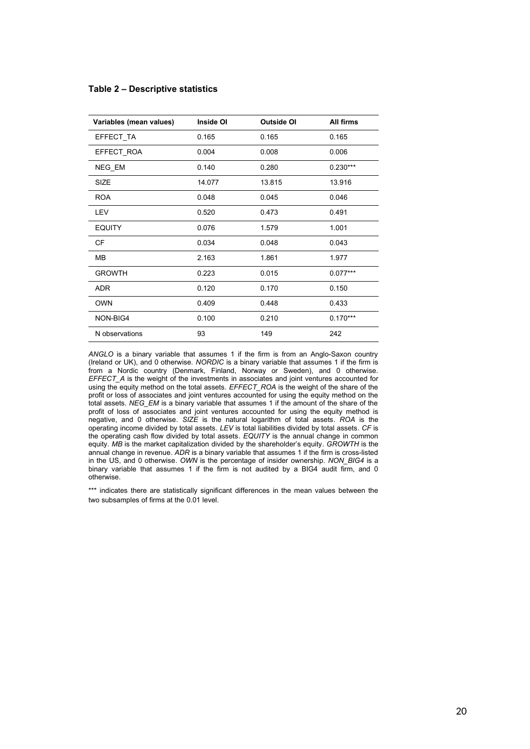#### **Table 2 – Descriptive statistics**

| Variables (mean values) | Inside OI | <b>Outside OI</b> | All firms  |
|-------------------------|-----------|-------------------|------------|
| EFFECT_TA               | 0.165     | 0.165             | 0.165      |
| EFFECT_ROA              | 0.004     | 0.008             | 0.006      |
| NEG_EM                  | 0.140     | 0.280             | $0.230***$ |
| <b>SIZE</b>             | 14.077    | 13.815            | 13.916     |
| <b>ROA</b>              | 0.048     | 0.045             | 0.046      |
| LEV                     | 0.520     | 0.473             | 0.491      |
| <b>EQUITY</b>           | 0.076     | 1.579             | 1.001      |
| CF                      | 0.034     | 0.048             | 0.043      |
| MB                      | 2.163     | 1.861             | 1.977      |
| <b>GROWTH</b>           | 0.223     | 0.015             | $0.077***$ |
| ADR                     | 0.120     | 0.170             | 0.150      |
| <b>OWN</b>              | 0.409     | 0.448             | 0.433      |
| NON-BIG4                | 0.100     | 0.210             | $0.170***$ |
| N observations          | 93        | 149               | 242        |

*ANGLO* is a binary variable that assumes 1 if the firm is from an Anglo-Saxon country (Ireland or UK), and 0 otherwise. *NORDIC* is a binary variable that assumes 1 if the firm is from a Nordic country (Denmark, Finland, Norway or Sweden), and 0 otherwise. *EFFECT\_A* is the weight of the investments in associates and joint ventures accounted for using the equity method on the total assets. *EFFECT\_ROA* is the weight of the share of the profit or loss of associates and joint ventures accounted for using the equity method on the total assets. *NEG\_EM* is a binary variable that assumes 1 if the amount of the share of the profit of loss of associates and joint ventures accounted for using the equity method is negative, and 0 otherwise. *SIZE* is the natural logarithm of total assets. *ROA* is the operating income divided by total assets. *LEV* is total liabilities divided by total assets. *CF* is the operating cash flow divided by total assets. *EQUITY* is the annual change in common equity*. MB* is the market capitalization divided by the shareholder's equity. *GROWTH* is the annual change in revenue. *ADR* is a binary variable that assumes 1 if the firm is cross-listed in the US, and 0 otherwise. *OWN* is the percentage of insider ownership. *NON\_BIG4* is a binary variable that assumes 1 if the firm is not audited by a BIG4 audit firm, and 0 otherwise.

\*\*\* indicates there are statistically significant differences in the mean values between the two subsamples of firms at the 0.01 level.